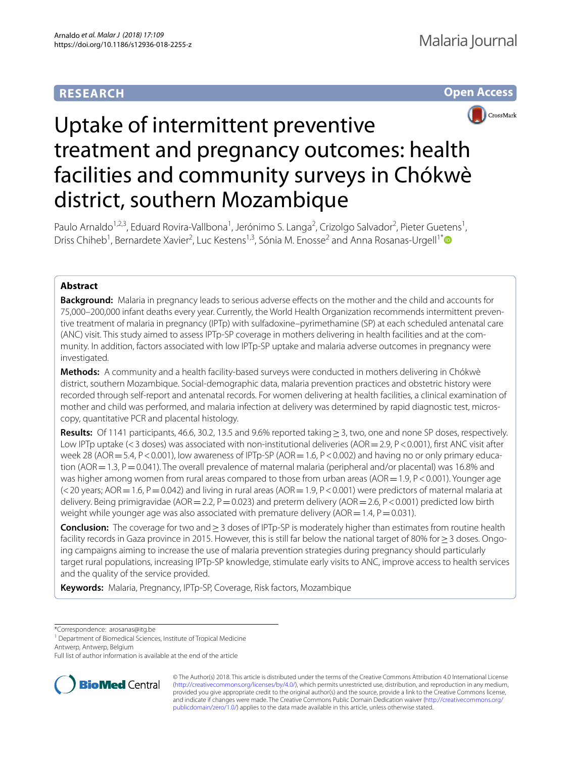# **RESEARCH**





# Uptake of intermittent preventive treatment and pregnancy outcomes: health facilities and community surveys in Chókwè district, southern Mozambique

Paulo Arnaldo<sup>1,2,3</sup>, Eduard Rovira-Vallbona<sup>1</sup>, Jerónimo S. Langa<sup>2</sup>, Crizolgo Salvador<sup>2</sup>, Pieter Guetens<sup>1</sup>, Driss Chiheb<sup>1</sup>, Bernardete Xavier<sup>2</sup>, Luc Kestens<sup>1,3</sup>, Sónia M. Enosse<sup>2</sup> and Anna Rosanas-Urgell<sup>1[\\*](http://orcid.org/0000-0002-0432-5203)</sup>

# **Abstract**

**Background:** Malaria in pregnancy leads to serious adverse effects on the mother and the child and accounts for 75,000-200,000 infant deaths every year. Currently, the World Health Organization recommends intermittent preventive treatment of malaria in pregnancy (IPTp) with sulfadoxine–pyrimethamine (SP) at each scheduled antenatal care (ANC) visit. This study aimed to assess IPTp-SP coverage in mothers delivering in health facilities and at the community. In addition, factors associated with low IPTp-SP uptake and malaria adverse outcomes in pregnancy were investigated.

**Methods:** A community and a health facility-based surveys were conducted in mothers delivering in Chókwè district, southern Mozambique. Social-demographic data, malaria prevention practices and obstetric history were recorded through self-report and antenatal records. For women delivering at health facilities, a clinical examination of mother and child was performed, and malaria infection at delivery was determined by rapid diagnostic test, microscopy, quantitative PCR and placental histology.

**Results:** Of 1141 participants, 46.6, 30.2, 13.5 and 9.6% reported taking≥3, two, one and none SP doses, respectively. Low IPTp uptake (<3 doses) was associated with non-institutional deliveries (AOR = 2.9, P < 0.001), first ANC visit after week 28 (AOR = 5.4, P < 0.001), low awareness of IPTp-SP (AOR = 1.6, P < 0.002) and having no or only primary education (AOR = 1.3, P = 0.041). The overall prevalence of maternal malaria (peripheral and/or placental) was 16.8% and was higher among women from rural areas compared to those from urban areas (AOR  $=1.9$ , P < 0.001). Younger age  $(<$  20 years; AOR = 1.6, P = 0.042) and living in rural areas (AOR = 1.9, P < 0.001) were predictors of maternal malaria at delivery. Being primigravidae (AOR = 2.2, P = 0.023) and preterm delivery (AOR = 2.6, P < 0.001) predicted low birth weight while younger age was also associated with premature delivery (AOR = 1.4,  $P = 0.031$ ).

**Conclusion:** The coverage for two and≥3 doses of IPTp-SP is moderately higher than estimates from routine health facility records in Gaza province in 2015. However, this is still far below the national target of 80% for≥3 doses. Ongo‑ ing campaigns aiming to increase the use of malaria prevention strategies during pregnancy should particularly target rural populations, increasing IPTp-SP knowledge, stimulate early visits to ANC, improve access to health services and the quality of the service provided.

**Keywords:** Malaria, Pregnancy, IPTp-SP, Coverage, Risk factors, Mozambique

\*Correspondence: arosanas@itg.be

Antwerp, Antwerp, Belgium

Full list of author information is available at the end of the article



© The Author(s) 2018. This article is distributed under the terms of the Creative Commons Attribution 4.0 International License [\(http://creativecommons.org/licenses/by/4.0/\)](http://creativecommons.org/licenses/by/4.0/), which permits unrestricted use, distribution, and reproduction in any medium, provided you give appropriate credit to the original author(s) and the source, provide a link to the Creative Commons license, and indicate if changes were made. The Creative Commons Public Domain Dedication waiver ([http://creativecommons.org/](http://creativecommons.org/publicdomain/zero/1.0/) [publicdomain/zero/1.0/](http://creativecommons.org/publicdomain/zero/1.0/)) applies to the data made available in this article, unless otherwise stated.

<sup>&</sup>lt;sup>1</sup> Department of Biomedical Sciences, Institute of Tropical Medicine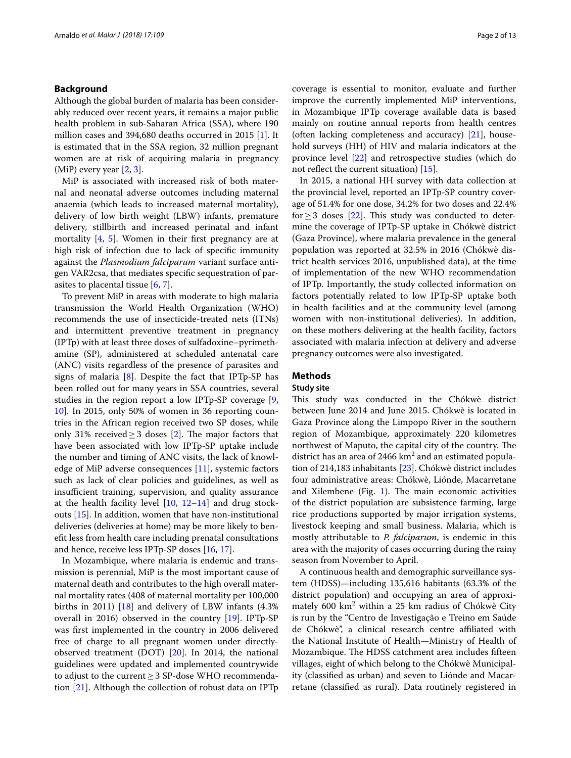# **Background**

Although the global burden of malaria has been considerably reduced over recent years, it remains a major public health problem in sub-Saharan Africa (SSA), where 190 million cases and 394,680 deaths occurred in 2015 [\[1\]](#page-11-0). It is estimated that in the SSA region, 32 million pregnant women are at risk of acquiring malaria in pregnancy (MiP) every year [[2,](#page-11-1) [3](#page-11-2)].

MiP is associated with increased risk of both maternal and neonatal adverse outcomes including maternal anaemia (which leads to increased maternal mortality), delivery of low birth weight (LBW) infants, premature delivery, stillbirth and increased perinatal and infant mortality  $[4, 5]$  $[4, 5]$  $[4, 5]$  $[4, 5]$ . Women in their first pregnancy are at high risk of infection due to lack of specifc immunity against the *Plasmodium falciparum* variant surface antigen VAR2csa, that mediates specifc sequestration of parasites to placental tissue [\[6](#page-11-5), [7](#page-11-6)].

To prevent MiP in areas with moderate to high malaria transmission the World Health Organization (WHO) recommends the use of insecticide-treated nets (ITNs) and intermittent preventive treatment in pregnancy (IPTp) with at least three doses of sulfadoxine–pyrimethamine (SP), administered at scheduled antenatal care (ANC) visits regardless of the presence of parasites and signs of malaria  $[8]$  $[8]$ . Despite the fact that IPTp-SP has been rolled out for many years in SSA countries, several studies in the region report a low IPTp-SP coverage [\[9](#page-11-8), [10\]](#page-11-9). In 2015, only 50% of women in 36 reporting countries in the African region received two SP doses, while only 31% received  $\geq$  3 doses [\[2](#page-11-1)]. The major factors that have been associated with low IPTp-SP uptake include the number and timing of ANC visits, the lack of knowledge of MiP adverse consequences [\[11](#page-11-10)], systemic factors such as lack of clear policies and guidelines, as well as insufficient training, supervision, and quality assurance at the health facility level  $[10, 12-14]$  $[10, 12-14]$  $[10, 12-14]$  $[10, 12-14]$  and drug stockouts [\[15\]](#page-11-13). In addition, women that have non-institutional deliveries (deliveries at home) may be more likely to beneft less from health care including prenatal consultations and hence, receive less IPTp-SP doses [\[16,](#page-11-14) [17](#page-11-15)].

In Mozambique, where malaria is endemic and transmission is perennial, MiP is the most important cause of maternal death and contributes to the high overall maternal mortality rates (408 of maternal mortality per 100,000 births in 2011) [[18](#page-11-16)] and delivery of LBW infants (4.3% overall in 2016) observed in the country [\[19](#page-11-17)]. IPTp-SP was frst implemented in the country in 2006 delivered free of charge to all pregnant women under directlyobserved treatment (DOT) [[20](#page-11-18)]. In 2014, the national guidelines were updated and implemented countrywide to adjust to the current≥3 SP-dose WHO recommendation [\[21\]](#page-11-19). Although the collection of robust data on IPTp coverage is essential to monitor, evaluate and further improve the currently implemented MiP interventions, in Mozambique IPTp coverage available data is based mainly on routine annual reports from health centres (often lacking completeness and accuracy) [\[21](#page-11-19)], household surveys (HH) of HIV and malaria indicators at the province level [\[22](#page-11-20)] and retrospective studies (which do not reflect the current situation) [[15\]](#page-11-13).

In 2015, a national HH survey with data collection at the provincial level, reported an IPTp-SP country coverage of 51.4% for one dose, 34.2% for two doses and 22.4% for  $\geq$  3 doses [[22\]](#page-11-20). This study was conducted to determine the coverage of IPTp-SP uptake in Chókwè district (Gaza Province), where malaria prevalence in the general population was reported at 32.5% in 2016 (Chókwè district health services 2016, unpublished data), at the time of implementation of the new WHO recommendation of IPTp. Importantly, the study collected information on factors potentially related to low IPTp-SP uptake both in health facilities and at the community level (among women with non-institutional deliveries). In addition, on these mothers delivering at the health facility, factors associated with malaria infection at delivery and adverse pregnancy outcomes were also investigated.

# **Methods**

# **Study site**

This study was conducted in the Chókwè district between June 2014 and June 2015. Chókwè is located in Gaza Province along the Limpopo River in the southern region of Mozambique, approximately 220 kilometres northwest of Maputo, the capital city of the country. The district has an area of 2466  $km^2$  and an estimated population of 214,183 inhabitants [\[23](#page-11-21)]. Chókwè district includes four administrative areas: Chókwè, Liónde, Macarretane and Xilembene (Fig.  $1$ ). The main economic activities of the district population are subsistence farming, large rice productions supported by major irrigation systems, livestock keeping and small business. Malaria, which is mostly attributable to *P. falciparum*, is endemic in this area with the majority of cases occurring during the rainy season from November to April.

A continuous health and demographic surveillance system (HDSS)—including 135,616 habitants (63.3% of the district population) and occupying an area of approximately 600 km<sup>2</sup> within a 25 km radius of Chókwè City is run by the "Centro de Investigação e Treino em Saúde de Chókwè", a clinical research centre afliated with the National Institute of Health—Ministry of Health of Mozambique. The HDSS catchment area includes fifteen villages, eight of which belong to the Chókwè Municipality (classifed as urban) and seven to Liónde and Macarretane (classifed as rural). Data routinely registered in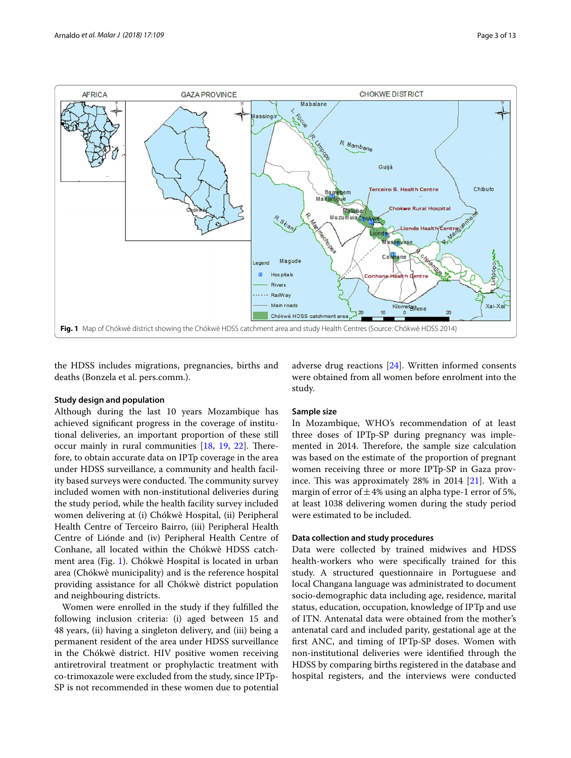

<span id="page-2-0"></span>the HDSS includes migrations, pregnancies, births and deaths (Bonzela et al. pers.comm.).

### **Study design and population**

Although during the last 10 years Mozambique has achieved signifcant progress in the coverage of institutional deliveries, an important proportion of these still occur mainly in rural communities  $[18, 19, 22]$  $[18, 19, 22]$  $[18, 19, 22]$  $[18, 19, 22]$  $[18, 19, 22]$  $[18, 19, 22]$ . Therefore, to obtain accurate data on IPTp coverage in the area under HDSS surveillance, a community and health facility based surveys were conducted. The community survey included women with non-institutional deliveries during the study period, while the health facility survey included women delivering at (i) Chókwè Hospital, (ii) Peripheral Health Centre of Terceiro Bairro, (iii) Peripheral Health Centre of Liónde and (iv) Peripheral Health Centre of Conhane, all located within the Chókwè HDSS catchment area (Fig. [1](#page-2-0)). Chókwè Hospital is located in urban area (Chókwè municipality) and is the reference hospital providing assistance for all Chókwè district population and neighbouring districts.

Women were enrolled in the study if they fulflled the following inclusion criteria: (i) aged between 15 and 48 years, (ii) having a singleton delivery, and (iii) being a permanent resident of the area under HDSS surveillance in the Chókwè district. HIV positive women receiving antiretroviral treatment or prophylactic treatment with co-trimoxazole were excluded from the study, since IPTp-SP is not recommended in these women due to potential

adverse drug reactions [\[24](#page-11-22)]. Written informed consents were obtained from all women before enrolment into the study.

# **Sample size**

In Mozambique, WHO's recommendation of at least three doses of IPTp-SP during pregnancy was implemented in 2014. Therefore, the sample size calculation was based on the estimate of the proportion of pregnant women receiving three or more IPTp-SP in Gaza province. This was approximately  $28\%$  in  $2014$   $[21]$  $[21]$ . With a margin of error of  $\pm$ 4% using an alpha type-1 error of 5%, at least 1038 delivering women during the study period were estimated to be included.

# **Data collection and study procedures**

Data were collected by trained midwives and HDSS health-workers who were specifcally trained for this study. A structured questionnaire in Portuguese and local Changana language was administrated to document socio-demographic data including age, residence, marital status, education, occupation, knowledge of IPTp and use of ITN. Antenatal data were obtained from the mother's antenatal card and included parity, gestational age at the frst ANC, and timing of IPTp-SP doses. Women with non-institutional deliveries were identifed through the HDSS by comparing births registered in the database and hospital registers, and the interviews were conducted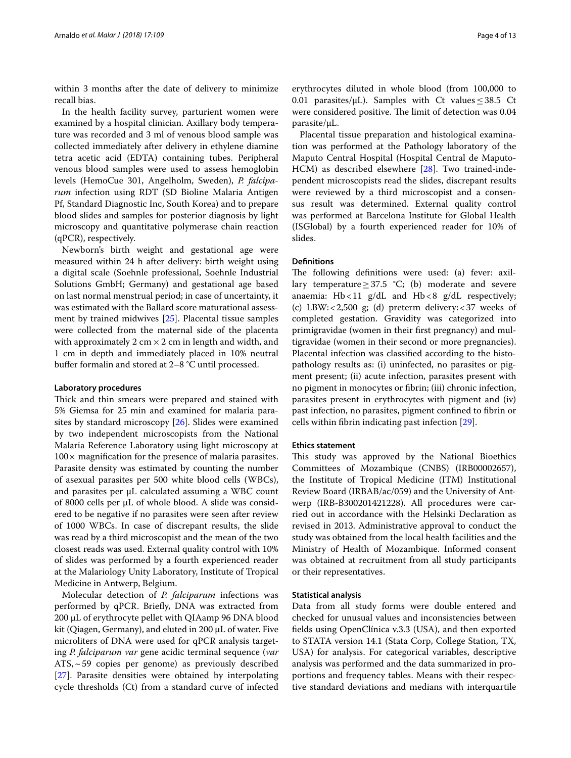within 3 months after the date of delivery to minimize recall bias.

In the health facility survey, parturient women were examined by a hospital clinician. Axillary body temperature was recorded and 3 ml of venous blood sample was collected immediately after delivery in ethylene diamine tetra acetic acid (EDTA) containing tubes. Peripheral venous blood samples were used to assess hemoglobin levels (HemoCue 301, Angelholm, Sweden), *P. falciparum* infection using RDT (SD Bioline Malaria Antigen Pf, Standard Diagnostic Inc, South Korea) and to prepare blood slides and samples for posterior diagnosis by light microscopy and quantitative polymerase chain reaction (qPCR), respectively.

Newborn's birth weight and gestational age were measured within 24 h after delivery: birth weight using a digital scale (Soehnle professional, Soehnle Industrial Solutions GmbH; Germany) and gestational age based on last normal menstrual period; in case of uncertainty, it was estimated with the Ballard score maturational assessment by trained midwives [\[25](#page-11-23)]. Placental tissue samples were collected from the maternal side of the placenta with approximately 2 cm  $\times$  2 cm in length and width, and 1 cm in depth and immediately placed in 10% neutral buffer formalin and stored at 2–8 °C until processed.

### **Laboratory procedures**

Thick and thin smears were prepared and stained with 5% Giemsa for 25 min and examined for malaria parasites by standard microscopy [[26\]](#page-11-24). Slides were examined by two independent microscopists from the National Malaria Reference Laboratory using light microscopy at  $100\times$  magnification for the presence of malaria parasites. Parasite density was estimated by counting the number of asexual parasites per 500 white blood cells (WBCs), and parasites per µL calculated assuming a WBC count of 8000 cells per µL of whole blood. A slide was considered to be negative if no parasites were seen after review of 1000 WBCs. In case of discrepant results, the slide was read by a third microscopist and the mean of the two closest reads was used. External quality control with 10% of slides was performed by a fourth experienced reader at the Malariology Unity Laboratory, Institute of Tropical Medicine in Antwerp, Belgium.

Molecular detection of *P. falciparum* infections was performed by qPCR. Briefy, DNA was extracted from 200 μL of erythrocyte pellet with QIAamp 96 DNA blood kit (Qiagen, Germany), and eluted in 200 μL of water. Five microliters of DNA were used for qPCR analysis targeting *P. falciparum var* gene acidic terminal sequence (*var*  $ATS,~59$  copies per genome) as previously described [[27\]](#page-11-25). Parasite densities were obtained by interpolating cycle thresholds (Ct) from a standard curve of infected

erythrocytes diluted in whole blood (from 100,000 to 0.01 parasites/ $\mu$ L). Samples with Ct values < 38.5 Ct were considered positive. The limit of detection was 0.04 parasite/µL.

Placental tissue preparation and histological examination was performed at the Pathology laboratory of the Maputo Central Hospital (Hospital Central de Maputo-HCM) as described elsewhere [[28\]](#page-11-26). Two trained-independent microscopists read the slides, discrepant results were reviewed by a third microscopist and a consensus result was determined. External quality control was performed at Barcelona Institute for Global Health (ISGlobal) by a fourth experienced reader for 10% of slides.

# **Defnitions**

The following definitions were used: (a) fever: axillary temperature  $\geq 37.5$  °C; (b) moderate and severe anaemia:  $Hb < 11$  g/dL and  $Hb < 8$  g/dL respectively; (c) LBW: <  $2,500$  g; (d) preterm delivery: <  $37$  weeks of completed gestation. Gravidity was categorized into primigravidae (women in their frst pregnancy) and multigravidae (women in their second or more pregnancies). Placental infection was classifed according to the histopathology results as: (i) uninfected, no parasites or pigment present; (ii) acute infection, parasites present with no pigment in monocytes or fbrin; (iii) chronic infection, parasites present in erythrocytes with pigment and (iv) past infection, no parasites, pigment confned to fbrin or cells within fbrin indicating past infection [[29\]](#page-11-27).

### **Ethics statement**

This study was approved by the National Bioethics Committees of Mozambique (CNBS) (IRB00002657), the Institute of Tropical Medicine (ITM) Institutional Review Board (IRBAB/ac/059) and the University of Antwerp (IRB-B300201421228). All procedures were carried out in accordance with the Helsinki Declaration as revised in 2013. Administrative approval to conduct the study was obtained from the local health facilities and the Ministry of Health of Mozambique. Informed consent was obtained at recruitment from all study participants or their representatives.

### **Statistical analysis**

Data from all study forms were double entered and checked for unusual values and inconsistencies between felds using OpenClínica v.3.3 (USA), and then exported to STATA version 14.1 (Stata Corp, College Station, TX, USA) for analysis. For categorical variables, descriptive analysis was performed and the data summarized in proportions and frequency tables. Means with their respective standard deviations and medians with interquartile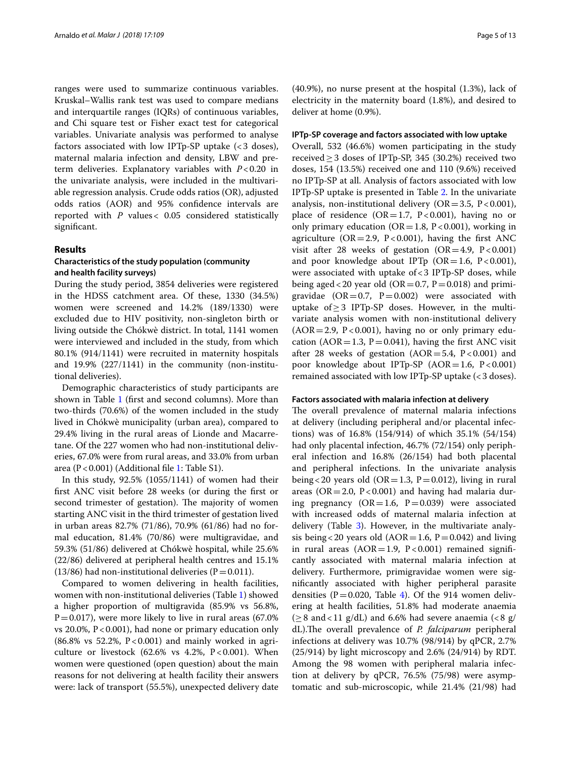ranges were used to summarize continuous variables. Kruskal–Wallis rank test was used to compare medians and interquartile ranges (IQRs) of continuous variables, and Chi square test or Fisher exact test for categorical variables. Univariate analysis was performed to analyse factors associated with low IPTp-SP uptake (<3 doses), maternal malaria infection and density, LBW and preterm deliveries. Explanatory variables with *P*<0.20 in the univariate analysis, were included in the multivariable regression analysis. Crude odds ratios (OR), adjusted odds ratios (AOR) and 95% confdence intervals are reported with *P* values< 0.05 considered statistically signifcant.

# **Results**

# **Characteristics of the study population (community and health facility surveys)**

During the study period, 3854 deliveries were registered in the HDSS catchment area. Of these, 1330 (34.5%) women were screened and 14.2% (189/1330) were excluded due to HIV positivity, non-singleton birth or living outside the Chókwè district. In total, 1141 women were interviewed and included in the study, from which 80.1% (914/1141) were recruited in maternity hospitals and 19.9% (227/1141) in the community (non-institutional deliveries).

Demographic characteristics of study participants are shown in Table [1](#page-5-0) (frst and second columns). More than two-thirds (70.6%) of the women included in the study lived in Chókwè municipality (urban area), compared to 29.4% living in the rural areas of Lionde and Macarretane. Of the 227 women who had non-institutional deliveries, 67.0% were from rural areas, and 33.0% from urban area ( $P < 0.001$ ) (Additional file [1:](#page-10-0) Table S1).

In this study, 92.5% (1055/1141) of women had their frst ANC visit before 28 weeks (or during the frst or second trimester of gestation). The majority of women starting ANC visit in the third trimester of gestation lived in urban areas 82.7% (71/86), 70.9% (61/86) had no formal education, 81.4% (70/86) were multigravidae, and 59.3% (51/86) delivered at Chókwè hospital, while 25.6% (22/86) delivered at peripheral health centres and 15.1% (13/86) had non-institutional deliveries ( $P=0.011$ ).

Compared to women delivering in health facilities, women with non-institutional deliveries (Table [1](#page-5-0)) showed a higher proportion of multigravida (85.9% vs 56.8%,  $P=0.017$ ), were more likely to live in rural areas (67.0%) vs 20.0%,  $P < 0.001$ ), had none or primary education only  $(86.8\% \text{ vs } 52.2\%, P < 0.001)$  and mainly worked in agriculture or livestock (62.6% vs 4.2%,  $P < 0.001$ ). When women were questioned (open question) about the main reasons for not delivering at health facility their answers were: lack of transport (55.5%), unexpected delivery date (40.9%), no nurse present at the hospital (1.3%), lack of electricity in the maternity board (1.8%), and desired to deliver at home (0.9%).

### **IPTp‑SP coverage and factors associated with low uptake**

Overall, 532 (46.6%) women participating in the study received≥3 doses of IPTp-SP, 345 (30.2%) received two doses, 154 (13.5%) received one and 110 (9.6%) received no IPTp-SP at all. Analysis of factors associated with low IPTp-SP uptake is presented in Table [2](#page-6-0). In the univariate analysis, non-institutional delivery ( $OR = 3.5$ ,  $P < 0.001$ ), place of residence (OR=1.7, P<0.001), having no or only primary education ( $OR = 1.8$ ,  $P < 0.001$ ), working in agriculture ( $OR = 2.9$ ,  $P < 0.001$ ), having the first ANC visit after 28 weeks of gestation  $(OR=4.9, P<0.001)$ and poor knowledge about IPTp (OR=1.6, P<0.001), were associated with uptake of  $<$  3 IPTp-SP doses, while being aged < 20 year old (OR = 0.7, P = 0.018) and primigravidae (OR=0.7, P=0.002) were associated with uptake of  $≥$ 3 IPTp-SP doses. However, in the multivariate analysis women with non-institutional delivery  $(AOR = 2.9, P < 0.001)$ , having no or only primary education ( $AOR = 1.3$ ,  $P = 0.041$ ), having the first ANC visit after 28 weeks of gestation  $(AOR = 5.4, P < 0.001)$  and poor knowledge about IPTp-SP (AOR=1.6, P<0.001) remained associated with low IPTp-SP uptake (<3 doses).

### **Factors associated with malaria infection at delivery**

The overall prevalence of maternal malaria infections at delivery (including peripheral and/or placental infections) was of 16.8% (154/914) of which 35.1% (54/154) had only placental infection, 46.7% (72/154) only peripheral infection and 16.8% (26/154) had both placental and peripheral infections. In the univariate analysis being < 20 years old (OR = 1.3, P = 0.012), living in rural areas ( $OR = 2.0$ ,  $P < 0.001$ ) and having had malaria during pregnancy  $(OR=1.6, P=0.039)$  were associated with increased odds of maternal malaria infection at delivery (Table [3\)](#page-7-0). However, in the multivariate analysis being < 20 years old  $(AOR = 1.6, P = 0.042)$  and living in rural areas  $(AOR = 1.9, P < 0.001)$  remained significantly associated with maternal malaria infection at delivery. Furthermore, primigravidae women were signifcantly associated with higher peripheral parasite densities ( $P = 0.020$ , Table [4](#page-8-0)). Of the 914 women delivering at health facilities, 51.8% had moderate anaemia  $(\geq 8 \text{ and } 11 \text{ g/dL})$  and 6.6% had severe anaemia (<8 g/ dL).The overall prevalence of *P. falciparum* peripheral infections at delivery was 10.7% (98/914) by qPCR, 2.7% (25/914) by light microscopy and 2.6% (24/914) by RDT. Among the 98 women with peripheral malaria infection at delivery by qPCR, 76.5% (75/98) were asymptomatic and sub-microscopic, while 21.4% (21/98) had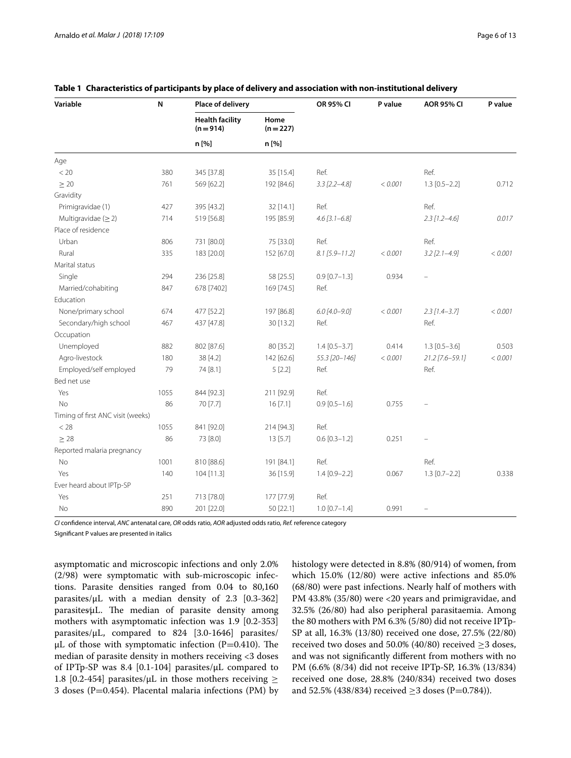| Variable                          | N    | Place of delivery                   |                   | OR 95% CI          | P value | <b>AOR 95% CI</b> | P value |
|-----------------------------------|------|-------------------------------------|-------------------|--------------------|---------|-------------------|---------|
|                                   |      | <b>Health facility</b><br>$(n=914)$ | Home<br>$(n=227)$ |                    |         |                   |         |
|                                   |      | n [%]                               | n [%]             |                    |         |                   |         |
| Age                               |      |                                     |                   |                    |         |                   |         |
| < 20                              | 380  | 345 [37.8]                          | 35 [15.4]         | Ref.               |         | Ref.              |         |
| $\geq 20$                         | 761  | 569 [62.2]                          | 192 [84.6]        | $3.3$ [2.2-4.8]    | < 0.001 | $1.3$ [0.5-2.2]   | 0.712   |
| Gravidity                         |      |                                     |                   |                    |         |                   |         |
| Primigravidae (1)                 | 427  | 395 [43.2]                          | 32 [14.1]         | Ref.               |         | Ref.              |         |
| Multigravidae $(\geq 2)$          | 714  | 519 [56.8]                          | 195 [85.9]        | $4.6$ [3.1-6.8]    |         | $2.3$ [1.2-4.6]   | 0.017   |
| Place of residence                |      |                                     |                   |                    |         |                   |         |
| Urban                             | 806  | 731 [80.0]                          | 75 [33.0]         | Ref.               |         | Ref.              |         |
| Rural                             | 335  | 183 [20.0]                          | 152 [67.0]        | $8.1 [5.9 - 11.2]$ | < 0.001 | $3.2$ [2.1-4.9]   | < 0.001 |
| Marital status                    |      |                                     |                   |                    |         |                   |         |
| Single                            | 294  | 236 [25.8]                          | 58 [25.5]         | $0.9$ [0.7-1.3]    | 0.934   |                   |         |
| Married/cohabiting                | 847  | 678 [7402]                          | 169 [74.5]        | Ref.               |         |                   |         |
| Education                         |      |                                     |                   |                    |         |                   |         |
| None/primary school               | 674  | 477 [52.2]                          | 197 [86.8]        | $6.0$ [4.0-9.0]    | < 0.001 | $2.3$ [1.4-3.7]   | < 0.001 |
| Secondary/high school             | 467  | 437 [47.8]                          | 30 [13.2]         | Ref.               |         | Ref.              |         |
| Occupation                        |      |                                     |                   |                    |         |                   |         |
| Unemployed                        | 882  | 802 [87.6]                          | 80 [35.2]         | $1.4 [0.5 - 3.7]$  | 0.414   | $1.3$ [0.5-3.6]   | 0.503   |
| Agro-livestock                    | 180  | 38 [4.2]                            | 142 [62.6]        | 55.3 [20-146]      | < 0.001 | 21.2 [7.6-59.1]   | < 0.001 |
| Employed/self employed            | 79   | 74 [8.1]                            | 5[2.2]            | Ref.               |         | Ref.              |         |
| Bed net use                       |      |                                     |                   |                    |         |                   |         |
| Yes                               | 1055 | 844 [92.3]                          | 211 [92.9]        | Ref.               |         |                   |         |
| No                                | 86   | 70 [7.7]                            | 16 [7.1]          | $0.9$ [0.5-1.6]    | 0.755   |                   |         |
| Timing of first ANC visit (weeks) |      |                                     |                   |                    |         |                   |         |
| $<$ 28                            | 1055 | 841 [92.0]                          | 214 [94.3]        | Ref.               |         |                   |         |
| $\geq 28$                         | 86   | 73 [8.0]                            | 13 [5.7]          | $0.6$ [0.3-1.2]    | 0.251   |                   |         |
| Reported malaria pregnancy        |      |                                     |                   |                    |         |                   |         |
| No                                | 1001 | 810 [88.6]                          | 191 [84.1]        | Ref.               |         | Ref.              |         |
| Yes                               | 140  | 104 [11.3]                          | 36 [15.9]         | $1.4 [0.9 - 2.2]$  | 0.067   | $1.3$ [0.7-2.2]   | 0.338   |
| Ever heard about IPTp-SP          |      |                                     |                   |                    |         |                   |         |
| Yes                               | 251  | 713 [78.0]                          | 177 [77.9]        | Ref.               |         |                   |         |
| No                                | 890  | 201 [22.0]                          | 50 [22.1]         | $1.0$ [0.7-1.4]    | 0.991   |                   |         |

### <span id="page-5-0"></span>**Table 1 Characteristics of participants by place of delivery and association with non-institutional delivery**

*CI* confdence interval, *ANC* antenatal care, *OR* odds ratio, *AOR* adjusted odds ratio, *Ref.* reference category

Signifcant P values are presented in italics

asymptomatic and microscopic infections and only 2.0% (2/98) were symptomatic with sub-microscopic infections. Parasite densities ranged from 0.04 to 80,160 parasites/ $\mu$ L with a median density of 2.3 [0.3-362] parasites/μL. The median of parasite density among mothers with asymptomatic infection was 1.9 [0.2-353] parasites/μL, compared to 824 [3.0-1646] parasites/ μL of those with symptomatic infection  $(P=0.410)$ . The median of parasite density in mothers receiving <3 doses of IPTp-SP was 8.4 [0.1-104] parasites/μL compared to 1.8 [0.2-454] parasites/ $\mu$ L in those mothers receiving  $\geq$ 3 doses ( $P=0.454$ ). Placental malaria infections (PM) by histology were detected in 8.8% (80/914) of women, from which 15.0% (12/80) were active infections and 85.0% (68/80) were past infections. Nearly half of mothers with PM 43.8% (35/80) were <20 years and primigravidae, and 32.5% (26/80) had also peripheral parasitaemia. Among the 80 mothers with PM 6.3% (5/80) did not receive IPTp-SP at all, 16.3% (13/80) received one dose, 27.5% (22/80) received two doses and 50.0% (40/80) received  ${\geq}3$  doses, and was not signifcantly diferent from mothers with no PM (6.6% (8/34) did not receive IPTp-SP, 16.3% (13/834) received one dose, 28.8% (240/834) received two doses and 52.5% (438/834) received  $\geq$ 3 doses (P=0.784)).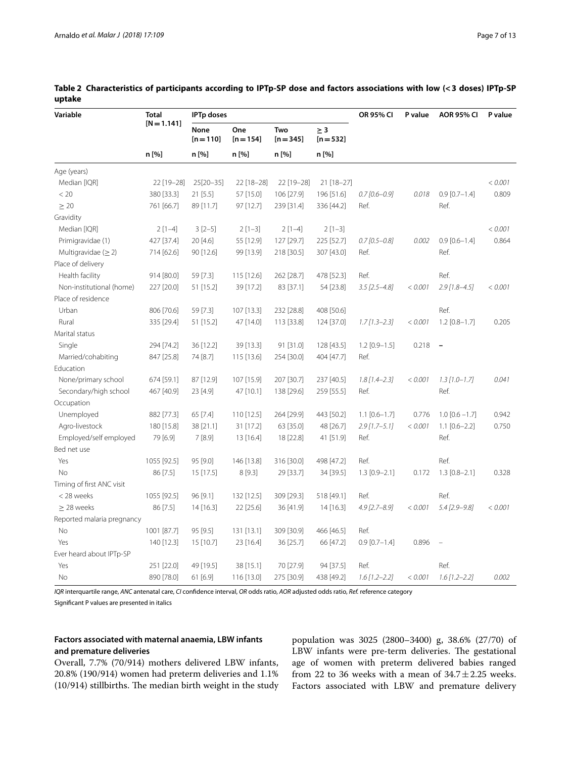| Variable                   | <b>Total</b>  | <b>IPTp doses</b>          |                    |                    |                         | OR 95% CI           | P value | <b>AOR 95% CI</b>        | P value |
|----------------------------|---------------|----------------------------|--------------------|--------------------|-------------------------|---------------------|---------|--------------------------|---------|
|                            | $[N = 1.141]$ | <b>None</b><br>$[n = 110]$ | One<br>$[n = 154]$ | Two<br>$[n = 345]$ | $\geq$ 3<br>$[n = 532]$ |                     |         |                          |         |
|                            | n [%]         | n [%]                      | n [%]              | n [%]              | n [%]                   |                     |         |                          |         |
| Age (years)                |               |                            |                    |                    |                         |                     |         |                          |         |
| Median [IQR]               | 22 [19-28]    | 25[20-35]                  | 22 [18-28]         | 22 [19-28]         | 21 [18-27]              |                     |         |                          | < 0.001 |
| < 20                       | 380 [33.3]    | 21 [5.5]                   | 57 [15.0]          | 106 [27.9]         | 196 [51.6]              | $0.7$ [0.6-0.9]     | 0.018   | $0.9$ [0.7-1.4]          | 0.809   |
| $\geq 20$                  | 761 [66.7]    | 89 [11.7]                  | 97 [12.7]          | 239 [31.4]         | 336 [44.2]              | Ref.                |         | Ref.                     |         |
| Gravidity                  |               |                            |                    |                    |                         |                     |         |                          |         |
| Median [IQR]               | $2[1-4]$      | $3[2-5]$                   | $2[1-3]$           | $2[1-4]$           | $2[1-3]$                |                     |         |                          | < 0.001 |
| Primigravidae (1)          | 427 [37.4]    | 20 [4.6]                   | 55 [12.9]          | 127 [29.7]         | 225 [52.7]              | $0.7$ [0.5-0.8]     | 0.002   | $0.9$ [0.6-1.4]          | 0.864   |
| Multigravidae ( $\geq$ 2)  | 714 [62.6]    | 90 [12.6]                  | 99 [13.9]          | 218 [30.5]         | 307 [43.0]              | Ref.                |         | Ref.                     |         |
| Place of delivery          |               |                            |                    |                    |                         |                     |         |                          |         |
| Health facility            | 914 [80.0]    | 59 [7.3]                   | 115 [12.6]         | 262 [28.7]         | 478 [52.3]              | Ref.                |         | Ref.                     |         |
| Non-institutional (home)   | 227 [20.0]    | 51 [15.2]                  | 39 [17.2]          | 83 [37.1]          | 54 [23.8]               | $3.5$ [2.5-4.8]     | < 0.001 | $2.9$ [1.8-4.5]          | < 0.001 |
| Place of residence         |               |                            |                    |                    |                         |                     |         |                          |         |
| Urban                      | 806 [70.6]    | 59 [7.3]                   | 107 [13.3]         | 232 [28.8]         | 408 [50.6]              |                     |         | Ref.                     |         |
| Rural                      | 335 [29.4]    | 51 [15.2]                  | 47 [14.0]          | 113 [33.8]         | 124 [37.0]              | $1.7$ [1.3-2.3]     | < 0.001 | $1.2$ [0.8-1.7]          | 0.205   |
| Marital status             |               |                            |                    |                    |                         |                     |         |                          |         |
| Single                     | 294 [74.2]    | 36 [12.2]                  | 39 [13.3]          | 91 [31.0]          | 128 [43.5]              | $1.2$ [0.9-1.5]     | 0.218   | $\overline{\phantom{a}}$ |         |
| Married/cohabiting         | 847 [25.8]    | 74 [8.7]                   | 115 [13.6]         | 254 [30.0]         | 404 [47.7]              | Ref.                |         |                          |         |
| Education                  |               |                            |                    |                    |                         |                     |         |                          |         |
| None/primary school        | 674 [59.1]    | 87 [12.9]                  | 107 [15.9]         | 207 [30.7]         | 237 [40.5]              | $1.8$ [1.4-2.3]     | < 0.001 | $1.3$ [1.0-1.7]          | 0.041   |
| Secondary/high school      | 467 [40.9]    | 23 [4.9]                   | 47 [10.1]          | 138 [29.6]         | 259 [55.5]              | Ref.                |         | Ref.                     |         |
| Occupation                 |               |                            |                    |                    |                         |                     |         |                          |         |
| Unemployed                 | 882 [77.3]    | 65 [7.4]                   | 110 [12.5]         | 264 [29.9]         | 443 [50.2]              | $1.1$ $[0.6 - 1.7]$ | 0.776   | $1.0$ [0.6 $-1.7$ ]      | 0.942   |
| Agro-livestock             | 180 [15.8]    | 38 [21.1]                  | 31 [17.2]          | 63 [35.0]          | 48 [26.7]               | $2.9$ [1.7-5.1]     | < 0.001 | $1.1$ [0.6-2.2]          | 0.750   |
| Employed/self employed     | 79 [6.9]      | 7[8.9]                     | 13 [16.4]          | 18 [22.8]          | 41 [51.9]               | Ref.                |         | Ref.                     |         |
| Bed net use                |               |                            |                    |                    |                         |                     |         |                          |         |
| Yes                        | 1055 [92.5]   | 95 [9.0]                   | 146 [13.8]         | 316 [30.0]         | 498 [47.2]              | Ref.                |         | Ref.                     |         |
| <b>No</b>                  | 86 [7.5]      | 15 [17.5]                  | 8[9.3]             | 29 [33.7]          | 34 [39.5]               | $1.3$ [0.9-2.1]     | 0.172   | $1.3$ [0.8-2.1]          | 0.328   |
| Timing of first ANC visit  |               |                            |                    |                    |                         |                     |         |                          |         |
| < 28 weeks                 | 1055 [92.5]   | 96 [9.1]                   | 132 [12.5]         | 309 [29.3]         | 518 [49.1]              | Ref.                |         | Ref.                     |         |
| $\geq$ 28 weeks            | 86 [7.5]      | 14 [16.3]                  | 22 [25.6]          | 36 [41.9]          | $14$ [16.3]             | $4.9$ [2.7-8.9]     | < 0.001 | $5.4$ [2.9-9.8]          | < 0.001 |
| Reported malaria pregnancy |               |                            |                    |                    |                         |                     |         |                          |         |
| No                         | 1001 [87.7]   | 95 [9.5]                   | 131 [13.1]         | 309 [30.9]         | 466 [46.5]              | Ref.                |         |                          |         |
| Yes                        | 140 [12.3]    | 15 [10.7]                  | 23 [16.4]          | 36 [25.7]          | 66 [47.2]               | $0.9$ [0.7-1.4]     | 0.896   |                          |         |
| Ever heard about IPTp-SP   |               |                            |                    |                    |                         |                     |         |                          |         |
| Yes                        | 251 [22.0]    | 49 [19.5]                  | 38 [15.1]          | 70 [27.9]          | 94 [37.5]               | Ref.                |         | Ref.                     |         |
| No                         | 890 [78.0]    | 61 [6.9]                   | 116 [13.0]         | 275 [30.9]         | 438 [49.2]              | $1.6$ [1.2-2.2]     | < 0.001 | $1.6$ [1.2-2.2]          | 0.002   |

<span id="page-6-0"></span>**Table 2 Characteristics of participants according to IPTp-SP dose and factors associations with low (<3 doses) IPTp-SP uptake**

*IQR* interquartile range, *ANC* antenatal care, *CI* confdence interval, *OR* odds ratio, *AOR* adjusted odds ratio, *Ref.* reference category

Signifcant P values are presented in italics

# **Factors associated with maternal anaemia, LBW infants and premature deliveries**

Overall, 7.7% (70/914) mothers delivered LBW infants, 20.8% (190/914) women had preterm deliveries and 1.1%  $(10/914)$  stillbirths. The median birth weight in the study

population was 3025 (2800–3400) g, 38.6% (27/70) of LBW infants were pre-term deliveries. The gestational age of women with preterm delivered babies ranged from 22 to 36 weeks with a mean of  $34.7 \pm 2.25$  weeks. Factors associated with LBW and premature delivery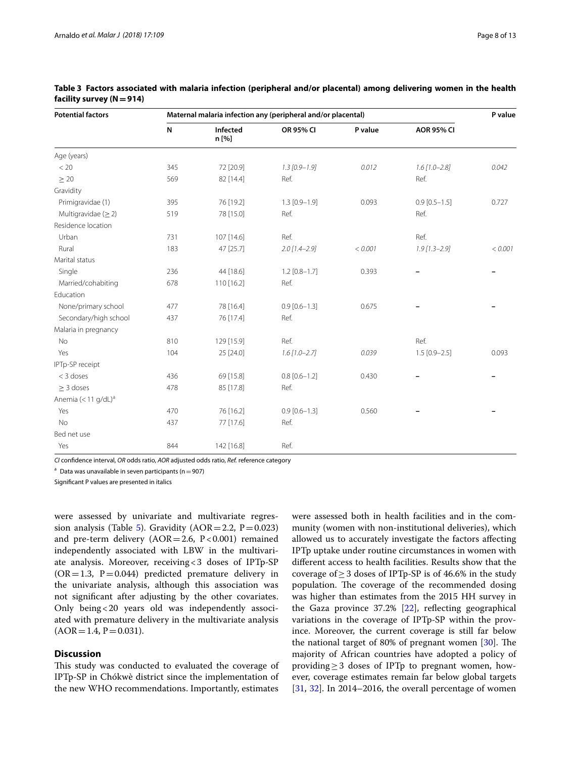| <b>Potential factors</b>          |     |                   | Maternal malaria infection any (peripheral and/or placental) |         |                   | P value |
|-----------------------------------|-----|-------------------|--------------------------------------------------------------|---------|-------------------|---------|
|                                   | N   | Infected<br>n [%] | OR 95% CI                                                    | P value | <b>AOR 95% CI</b> |         |
| Age (years)                       |     |                   |                                                              |         |                   |         |
| < 20                              | 345 | 72 [20.9]         | $1.3$ [0.9-1.9]                                              | 0.012   | $1.6$ [1.0-2.8]   | 0.042   |
| $\geq 20$                         | 569 | 82 [14.4]         | Ref.                                                         |         | Ref.              |         |
| Gravidity                         |     |                   |                                                              |         |                   |         |
| Primigravidae (1)                 | 395 | 76 [19.2]         | $1.3$ [0.9-1.9]                                              | 0.093   | $0.9$ [0.5-1.5]   | 0.727   |
| Multigravidae $(\geq 2)$          | 519 | 78 [15.0]         | Ref.                                                         |         | Ref.              |         |
| Residence location                |     |                   |                                                              |         |                   |         |
| Urban                             | 731 | 107 [14.6]        | Ref.                                                         |         | Ref.              |         |
| Rural                             | 183 | 47 [25.7]         | $2.0$ [1.4-2.9]                                              | < 0.001 | $1.9$ [1.3-2.9]   | < 0.001 |
| Marital status                    |     |                   |                                                              |         |                   |         |
| Single                            | 236 | 44 [18.6]         | $1.2$ [0.8-1.7]                                              | 0.393   |                   |         |
| Married/cohabiting                | 678 | 110 [16.2]        | Ref.                                                         |         |                   |         |
| Education                         |     |                   |                                                              |         |                   |         |
| None/primary school               | 477 | 78 [16.4]         | $0.9$ [0.6-1.3]                                              | 0.675   |                   |         |
| Secondary/high school             | 437 | 76 [17.4]         | Ref.                                                         |         |                   |         |
| Malaria in pregnancy              |     |                   |                                                              |         |                   |         |
| No                                | 810 | 129 [15.9]        | Ref.                                                         |         | Ref.              |         |
| Yes                               | 104 | 25 [24.0]         | $1.6$ [1.0-2.7]                                              | 0.039   | $1.5$ [0.9-2.5]   | 0.093   |
| IPTp-SP receipt                   |     |                   |                                                              |         |                   |         |
| $<$ 3 doses                       | 436 | 69 [15.8]         | $0.8$ [0.6-1.2]                                              | 0.430   |                   |         |
| $\geq$ 3 doses                    | 478 | 85 [17.8]         | Ref.                                                         |         |                   |         |
| Anemia $(<$ 11 g/dL) <sup>a</sup> |     |                   |                                                              |         |                   |         |
| Yes                               | 470 | 76 [16.2]         | $0.9$ [0.6-1.3]                                              | 0.560   |                   |         |
| No                                | 437 | 77 [17.6]         | Ref.                                                         |         |                   |         |
| Bed net use                       |     |                   |                                                              |         |                   |         |
| Yes                               | 844 | 142 [16.8]        | Ref.                                                         |         |                   |         |
|                                   |     |                   |                                                              |         |                   |         |

<span id="page-7-0"></span>**Table 3 Factors associated with malaria infection (peripheral and/or placental) among delivering women in the health facility survey (N=914)**

*CI* confdence interval, *OR* odds ratio, *AOR* adjusted odds ratio, *Ref.* reference category

<sup>a</sup> Data was unavailable in seven participants ( $n=907$ )

Signifcant P values are presented in italics

were assessed by univariate and multivariate regres-sion analysis (Table [5\)](#page-9-0). Gravidity ( $AOR = 2.2$ ,  $P = 0.023$ ) and pre-term delivery  $(AOR = 2.6, P < 0.001)$  remained independently associated with LBW in the multivariate analysis. Moreover, receiving<3 doses of IPTp-SP  $(OR = 1.3, P = 0.044)$  predicted premature delivery in the univariate analysis, although this association was not signifcant after adjusting by the other covariates. Only being<20 years old was independently associated with premature delivery in the multivariate analysis  $(AOR = 1.4, P = 0.031).$ 

# **Discussion**

This study was conducted to evaluated the coverage of IPTp-SP in Chókwè district since the implementation of the new WHO recommendations. Importantly, estimates were assessed both in health facilities and in the community (women with non-institutional deliveries), which allowed us to accurately investigate the factors afecting IPTp uptake under routine circumstances in women with diferent access to health facilities. Results show that the coverage of  $\geq$  3 doses of IPTp-SP is of 46.6% in the study population. The coverage of the recommended dosing was higher than estimates from the 2015 HH survey in the Gaza province  $37.2\%$  [\[22\]](#page-11-20), reflecting geographical variations in the coverage of IPTp-SP within the province. Moreover, the current coverage is still far below the national target of 80% of pregnant women  $[30]$  $[30]$  $[30]$ . The majority of African countries have adopted a policy of providing≥3 doses of IPTp to pregnant women, however, coverage estimates remain far below global targets [[31,](#page-11-29) [32\]](#page-12-0). In 2014–2016, the overall percentage of women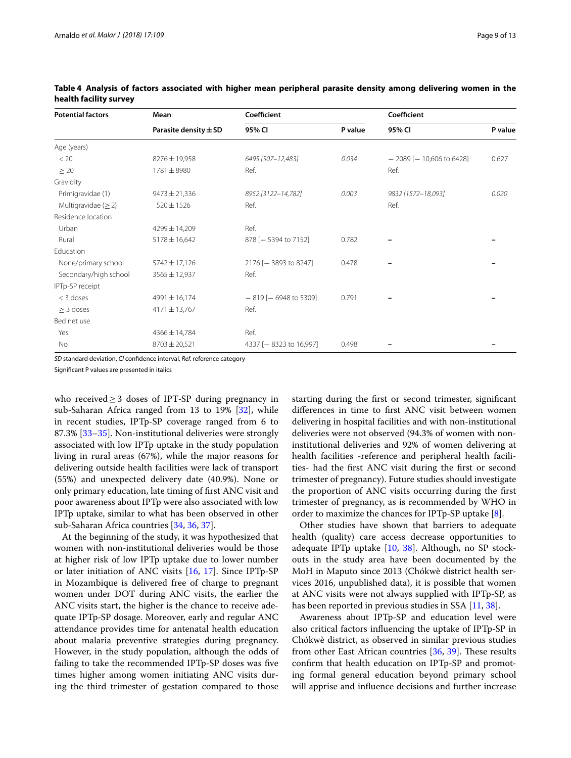| <b>Potential factors</b> | Mean                      | Coefficient               |         | Coefficient                  |         |
|--------------------------|---------------------------|---------------------------|---------|------------------------------|---------|
|                          | Parasite density $\pm$ SD | 95% CI                    | P value | 95% CI                       | P value |
| Age (years)              |                           |                           |         |                              |         |
| < 20                     | 8276±19,958               | 6495 [507-12,483]         | 0.034   | $-2089$ [ $-10,606$ to 6428] | 0.627   |
| $\geq 20$                | 1781±8980                 | Ref.                      |         | Ref.                         |         |
| Gravidity                |                           |                           |         |                              |         |
| Primigravidae (1)        | $9473 \pm 21,336$         | 8952 [3122-14,782]        | 0.003   | 9832 [1572-18,093]           | 0.020   |
| Multigravidae $(\geq 2)$ | $520 \pm 1526$            | Ref.                      |         | Ref.                         |         |
| Residence location       |                           |                           |         |                              |         |
| Urban                    | 4299±14,209               | Ref.                      |         |                              |         |
| Rural                    | $5178 \pm 16,642$         | 878 [- 5394 to 7152]      | 0.782   |                              |         |
| Education                |                           |                           |         |                              |         |
| None/primary school      | 5742 ± 17,126             | 2176 [- 3893 to 8247]     | 0.478   |                              |         |
| Secondary/high school    | $3565 \pm 12,937$         | Ref.                      |         |                              |         |
| IPTp-SP receipt          |                           |                           |         |                              |         |
| $<$ 3 doses              | 4991 ± 16,174             | $-819$ [ $-6948$ to 5309] | 0.791   |                              |         |
| $\geq$ 3 doses           | $4171 \pm 13,767$         | Ref.                      |         |                              |         |
| Bed net use              |                           |                           |         |                              |         |
| Yes                      | 4366±14,784               | Ref.                      |         |                              |         |
| No                       | $8703 \pm 20,521$         | 4337 [-8323 to 16,997]    | 0.498   |                              |         |

<span id="page-8-0"></span>

|                        | Table 4 Analysis of factors associated with higher mean peripheral parasite density among delivering women in the |  |  |  |  |  |
|------------------------|-------------------------------------------------------------------------------------------------------------------|--|--|--|--|--|
| health facility survey |                                                                                                                   |  |  |  |  |  |

*SD* standard deviation, *CI* confdence interval, *Ref.* reference category

Signifcant P values are presented in italics

who received≥3 doses of IPT-SP during pregnancy in sub-Saharan Africa ranged from 13 to 19% [\[32\]](#page-12-0), while in recent studies, IPTp-SP coverage ranged from 6 to 87.3% [\[33](#page-12-1)[–35\]](#page-12-2). Non-institutional deliveries were strongly associated with low IPTp uptake in the study population living in rural areas (67%), while the major reasons for delivering outside health facilities were lack of transport (55%) and unexpected delivery date (40.9%). None or only primary education, late timing of frst ANC visit and poor awareness about IPTp were also associated with low IPTp uptake, similar to what has been observed in other sub-Saharan Africa countries [\[34,](#page-12-3) [36](#page-12-4), [37\]](#page-12-5).

At the beginning of the study, it was hypothesized that women with non-institutional deliveries would be those at higher risk of low IPTp uptake due to lower number or later initiation of ANC visits [[16,](#page-11-14) [17](#page-11-15)]. Since IPTp-SP in Mozambique is delivered free of charge to pregnant women under DOT during ANC visits, the earlier the ANC visits start, the higher is the chance to receive adequate IPTp-SP dosage. Moreover, early and regular ANC attendance provides time for antenatal health education about malaria preventive strategies during pregnancy. However, in the study population, although the odds of failing to take the recommended IPTp-SP doses was fve times higher among women initiating ANC visits during the third trimester of gestation compared to those

starting during the frst or second trimester, signifcant diferences in time to frst ANC visit between women delivering in hospital facilities and with non-institutional deliveries were not observed (94.3% of women with noninstitutional deliveries and 92% of women delivering at health facilities -reference and peripheral health facilities- had the frst ANC visit during the frst or second trimester of pregnancy). Future studies should investigate the proportion of ANC visits occurring during the frst trimester of pregnancy, as is recommended by WHO in order to maximize the chances for IPTp-SP uptake [[8\]](#page-11-7).

Other studies have shown that barriers to adequate health (quality) care access decrease opportunities to adequate IPTp uptake [\[10](#page-11-9), [38](#page-12-6)]. Although, no SP stockouts in the study area have been documented by the MoH in Maputo since 2013 (Chókwè district health services 2016, unpublished data), it is possible that women at ANC visits were not always supplied with IPTp-SP, as has been reported in previous studies in SSA [\[11](#page-11-10), [38\]](#page-12-6).

Awareness about IPTp-SP and education level were also critical factors infuencing the uptake of IPTp-SP in Chókwè district, as observed in similar previous studies from other East African countries [\[36](#page-12-4), [39](#page-12-7)]. These results confrm that health education on IPTp-SP and promoting formal general education beyond primary school will apprise and infuence decisions and further increase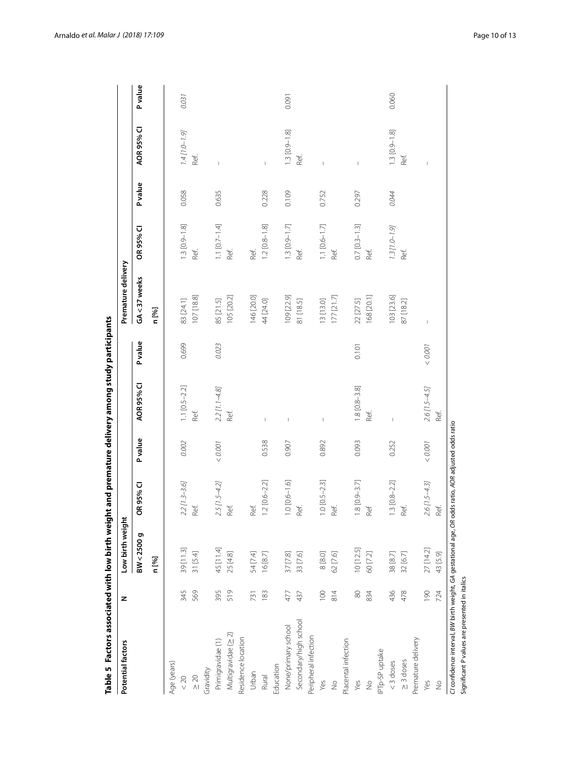| AOR 95% CI<br>$1.3 [0.9 - 1.8]$<br>$1.3$ [0.9-1.8]<br>$1.4$ [1.0-1.9]<br>Ref.<br>Ref.<br>Ref.<br>I<br>$\mathbb{I}$<br>$\overline{1}$<br>Pvalue<br>0.058<br>0.635<br>0.228<br>0.109<br>0.752<br>0.044<br>0.297<br>$1.3 [0.9 - 1.8]$<br>$1.1$ [0.7-1.4]<br>$0.7$ [ $0.3-1.3$ ]<br>$1.2$ [ $0.8 - 1.8$ ]<br>$1.3 [0.9 - 1.7]$<br>$1.1$ [0.6-1.7]<br>$1.3$ [1.0-1.9]<br>OR 95% CI<br>Ref.<br>Ref.<br>Ref.<br>Ref.<br>Ref.<br>Ref.<br>Ref.<br>GA<37 weeks<br>107 [18.8]<br>146 [20.0]<br>168 [20.1]<br>103 [23.6]<br>105 [20.2]<br>109 [22.9]<br>177 [21.7]<br>85 [21.5]<br>83 [24.1]<br>13 [13.0]<br>22 [27.5]<br>44 [24.0]<br>81 [18.5]<br>87 [18.2]<br>n [%]<br>$\begin{array}{c} \rule{0pt}{2.5ex} \rule{0pt}{2.5ex} \rule{0pt}{2.5ex} \rule{0pt}{2.5ex} \rule{0pt}{2.5ex} \rule{0pt}{2.5ex} \rule{0pt}{2.5ex} \rule{0pt}{2.5ex} \rule{0pt}{2.5ex} \rule{0pt}{2.5ex} \rule{0pt}{2.5ex} \rule{0pt}{2.5ex} \rule{0pt}{2.5ex} \rule{0pt}{2.5ex} \rule{0pt}{2.5ex} \rule{0pt}{2.5ex} \rule{0pt}{2.5ex} \rule{0pt}{2.5ex} \rule{0pt}{2.5ex} \rule{0$<br><b>P</b> value<br>0.699<br>0.023<br>$<0.001$<br>0.101<br>AOR 95% CI<br>$1.1$ [0.5-2.2]<br>$1.8$ [ $0.8 - 3.8$ ]<br>$2.2$ [1.1-4.8]<br>$2.6[1.5 - 4.5]$<br>Ref.<br>Ref.<br>Ref.<br>$\mathsf I$<br>$\overline{1}$<br>$\begin{array}{c} \end{array}$<br><b>P</b> value<br>0.002<br>0.538<br>0.892<br>0.093<br>0.252<br>$<0.001$<br>0.907<br>$<0.001$<br>$[0.1 - 9.0]$ 0.<br>$.3 [0.8 - 2.2]$<br>$2 [0.6 - 2.2]$<br>$.0 [0.5 - 2.3]$<br>$8$ [0.9-3.7]<br>$2.6$ [1.5-4.3]<br>$2.2$ [1.3-3.6]<br>$2.5$ [1.5-4.2]<br>OR 95% CI<br>Ref.<br>Ref.<br>Ref.<br>Ref.<br>Ref.<br>Ref.<br>Ref<br>BW<2500g<br>27 [14.2]<br>45 [11.4]<br>$10$ $[12.5]$<br>39 [11.3]<br>31 [5.4]<br>25 [4.8]<br>62 [7.6]<br>54 [7.4]<br>16 [8.7]<br>37 [7.8]<br>33 [7.6]<br>8 [8.0]<br>60 [7.2]<br>38 [8.7]<br>32 [6.7]<br>n [%]<br>569<br>061<br>345<br>395<br>519<br>100<br>436<br>183<br>814<br>80<br>478<br>477<br>437<br>731<br>834<br>Secondary/high school<br>None/primary school<br>Multigravidae (> 2)<br>Peripheral infection<br>Residence location<br>Premature delivery<br>Placental infection<br>Primigravidae (1)<br>PTp-SP uptake<br>$\geq 3$ doses<br>$<$ 3 doses<br>Age (years)<br>Education<br>Gravidity<br>Urban<br>$\geq 20$<br>Rural<br>< 20<br>Yes<br>Yes<br>$\frac{1}{2}$<br>Yes<br>$\frac{1}{2}$ | Potential factors | z   | Low birth weight |      |      | Premature delivery |  |                |
|------------------------------------------------------------------------------------------------------------------------------------------------------------------------------------------------------------------------------------------------------------------------------------------------------------------------------------------------------------------------------------------------------------------------------------------------------------------------------------------------------------------------------------------------------------------------------------------------------------------------------------------------------------------------------------------------------------------------------------------------------------------------------------------------------------------------------------------------------------------------------------------------------------------------------------------------------------------------------------------------------------------------------------------------------------------------------------------------------------------------------------------------------------------------------------------------------------------------------------------------------------------------------------------------------------------------------------------------------------------------------------------------------------------------------------------------------------------------------------------------------------------------------------------------------------------------------------------------------------------------------------------------------------------------------------------------------------------------------------------------------------------------------------------------------------------------------------------------------------------------------------------------------------------------------------------------------------------------------------------------------------------------------------------------------------------------------------------------------------------------------------------------------------------------------------------------------------------------------------------------------------------------------------------------------------------------------------------|-------------------|-----|------------------|------|------|--------------------|--|----------------|
|                                                                                                                                                                                                                                                                                                                                                                                                                                                                                                                                                                                                                                                                                                                                                                                                                                                                                                                                                                                                                                                                                                                                                                                                                                                                                                                                                                                                                                                                                                                                                                                                                                                                                                                                                                                                                                                                                                                                                                                                                                                                                                                                                                                                                                                                                                                                          |                   |     |                  |      |      |                    |  | <b>P</b> value |
|                                                                                                                                                                                                                                                                                                                                                                                                                                                                                                                                                                                                                                                                                                                                                                                                                                                                                                                                                                                                                                                                                                                                                                                                                                                                                                                                                                                                                                                                                                                                                                                                                                                                                                                                                                                                                                                                                                                                                                                                                                                                                                                                                                                                                                                                                                                                          |                   |     |                  |      |      |                    |  |                |
|                                                                                                                                                                                                                                                                                                                                                                                                                                                                                                                                                                                                                                                                                                                                                                                                                                                                                                                                                                                                                                                                                                                                                                                                                                                                                                                                                                                                                                                                                                                                                                                                                                                                                                                                                                                                                                                                                                                                                                                                                                                                                                                                                                                                                                                                                                                                          |                   |     |                  |      |      |                    |  |                |
|                                                                                                                                                                                                                                                                                                                                                                                                                                                                                                                                                                                                                                                                                                                                                                                                                                                                                                                                                                                                                                                                                                                                                                                                                                                                                                                                                                                                                                                                                                                                                                                                                                                                                                                                                                                                                                                                                                                                                                                                                                                                                                                                                                                                                                                                                                                                          |                   |     |                  |      |      |                    |  | 0.031          |
|                                                                                                                                                                                                                                                                                                                                                                                                                                                                                                                                                                                                                                                                                                                                                                                                                                                                                                                                                                                                                                                                                                                                                                                                                                                                                                                                                                                                                                                                                                                                                                                                                                                                                                                                                                                                                                                                                                                                                                                                                                                                                                                                                                                                                                                                                                                                          |                   |     |                  |      |      |                    |  |                |
|                                                                                                                                                                                                                                                                                                                                                                                                                                                                                                                                                                                                                                                                                                                                                                                                                                                                                                                                                                                                                                                                                                                                                                                                                                                                                                                                                                                                                                                                                                                                                                                                                                                                                                                                                                                                                                                                                                                                                                                                                                                                                                                                                                                                                                                                                                                                          |                   |     |                  |      |      |                    |  |                |
|                                                                                                                                                                                                                                                                                                                                                                                                                                                                                                                                                                                                                                                                                                                                                                                                                                                                                                                                                                                                                                                                                                                                                                                                                                                                                                                                                                                                                                                                                                                                                                                                                                                                                                                                                                                                                                                                                                                                                                                                                                                                                                                                                                                                                                                                                                                                          |                   |     |                  |      |      |                    |  |                |
|                                                                                                                                                                                                                                                                                                                                                                                                                                                                                                                                                                                                                                                                                                                                                                                                                                                                                                                                                                                                                                                                                                                                                                                                                                                                                                                                                                                                                                                                                                                                                                                                                                                                                                                                                                                                                                                                                                                                                                                                                                                                                                                                                                                                                                                                                                                                          |                   |     |                  |      |      |                    |  |                |
|                                                                                                                                                                                                                                                                                                                                                                                                                                                                                                                                                                                                                                                                                                                                                                                                                                                                                                                                                                                                                                                                                                                                                                                                                                                                                                                                                                                                                                                                                                                                                                                                                                                                                                                                                                                                                                                                                                                                                                                                                                                                                                                                                                                                                                                                                                                                          |                   |     |                  |      |      |                    |  |                |
|                                                                                                                                                                                                                                                                                                                                                                                                                                                                                                                                                                                                                                                                                                                                                                                                                                                                                                                                                                                                                                                                                                                                                                                                                                                                                                                                                                                                                                                                                                                                                                                                                                                                                                                                                                                                                                                                                                                                                                                                                                                                                                                                                                                                                                                                                                                                          |                   |     |                  |      |      |                    |  |                |
|                                                                                                                                                                                                                                                                                                                                                                                                                                                                                                                                                                                                                                                                                                                                                                                                                                                                                                                                                                                                                                                                                                                                                                                                                                                                                                                                                                                                                                                                                                                                                                                                                                                                                                                                                                                                                                                                                                                                                                                                                                                                                                                                                                                                                                                                                                                                          |                   |     |                  |      |      |                    |  |                |
|                                                                                                                                                                                                                                                                                                                                                                                                                                                                                                                                                                                                                                                                                                                                                                                                                                                                                                                                                                                                                                                                                                                                                                                                                                                                                                                                                                                                                                                                                                                                                                                                                                                                                                                                                                                                                                                                                                                                                                                                                                                                                                                                                                                                                                                                                                                                          |                   |     |                  |      |      |                    |  |                |
|                                                                                                                                                                                                                                                                                                                                                                                                                                                                                                                                                                                                                                                                                                                                                                                                                                                                                                                                                                                                                                                                                                                                                                                                                                                                                                                                                                                                                                                                                                                                                                                                                                                                                                                                                                                                                                                                                                                                                                                                                                                                                                                                                                                                                                                                                                                                          |                   |     |                  |      |      |                    |  | 0.091          |
|                                                                                                                                                                                                                                                                                                                                                                                                                                                                                                                                                                                                                                                                                                                                                                                                                                                                                                                                                                                                                                                                                                                                                                                                                                                                                                                                                                                                                                                                                                                                                                                                                                                                                                                                                                                                                                                                                                                                                                                                                                                                                                                                                                                                                                                                                                                                          |                   |     |                  |      |      |                    |  |                |
|                                                                                                                                                                                                                                                                                                                                                                                                                                                                                                                                                                                                                                                                                                                                                                                                                                                                                                                                                                                                                                                                                                                                                                                                                                                                                                                                                                                                                                                                                                                                                                                                                                                                                                                                                                                                                                                                                                                                                                                                                                                                                                                                                                                                                                                                                                                                          |                   |     |                  |      |      |                    |  |                |
|                                                                                                                                                                                                                                                                                                                                                                                                                                                                                                                                                                                                                                                                                                                                                                                                                                                                                                                                                                                                                                                                                                                                                                                                                                                                                                                                                                                                                                                                                                                                                                                                                                                                                                                                                                                                                                                                                                                                                                                                                                                                                                                                                                                                                                                                                                                                          |                   |     |                  |      |      |                    |  |                |
|                                                                                                                                                                                                                                                                                                                                                                                                                                                                                                                                                                                                                                                                                                                                                                                                                                                                                                                                                                                                                                                                                                                                                                                                                                                                                                                                                                                                                                                                                                                                                                                                                                                                                                                                                                                                                                                                                                                                                                                                                                                                                                                                                                                                                                                                                                                                          |                   |     |                  |      |      |                    |  |                |
|                                                                                                                                                                                                                                                                                                                                                                                                                                                                                                                                                                                                                                                                                                                                                                                                                                                                                                                                                                                                                                                                                                                                                                                                                                                                                                                                                                                                                                                                                                                                                                                                                                                                                                                                                                                                                                                                                                                                                                                                                                                                                                                                                                                                                                                                                                                                          |                   |     |                  |      |      |                    |  |                |
|                                                                                                                                                                                                                                                                                                                                                                                                                                                                                                                                                                                                                                                                                                                                                                                                                                                                                                                                                                                                                                                                                                                                                                                                                                                                                                                                                                                                                                                                                                                                                                                                                                                                                                                                                                                                                                                                                                                                                                                                                                                                                                                                                                                                                                                                                                                                          |                   |     |                  |      |      |                    |  |                |
|                                                                                                                                                                                                                                                                                                                                                                                                                                                                                                                                                                                                                                                                                                                                                                                                                                                                                                                                                                                                                                                                                                                                                                                                                                                                                                                                                                                                                                                                                                                                                                                                                                                                                                                                                                                                                                                                                                                                                                                                                                                                                                                                                                                                                                                                                                                                          |                   |     |                  |      |      |                    |  |                |
|                                                                                                                                                                                                                                                                                                                                                                                                                                                                                                                                                                                                                                                                                                                                                                                                                                                                                                                                                                                                                                                                                                                                                                                                                                                                                                                                                                                                                                                                                                                                                                                                                                                                                                                                                                                                                                                                                                                                                                                                                                                                                                                                                                                                                                                                                                                                          |                   |     |                  |      |      |                    |  |                |
|                                                                                                                                                                                                                                                                                                                                                                                                                                                                                                                                                                                                                                                                                                                                                                                                                                                                                                                                                                                                                                                                                                                                                                                                                                                                                                                                                                                                                                                                                                                                                                                                                                                                                                                                                                                                                                                                                                                                                                                                                                                                                                                                                                                                                                                                                                                                          |                   |     |                  |      |      |                    |  | 0.060          |
|                                                                                                                                                                                                                                                                                                                                                                                                                                                                                                                                                                                                                                                                                                                                                                                                                                                                                                                                                                                                                                                                                                                                                                                                                                                                                                                                                                                                                                                                                                                                                                                                                                                                                                                                                                                                                                                                                                                                                                                                                                                                                                                                                                                                                                                                                                                                          |                   |     |                  |      |      |                    |  |                |
|                                                                                                                                                                                                                                                                                                                                                                                                                                                                                                                                                                                                                                                                                                                                                                                                                                                                                                                                                                                                                                                                                                                                                                                                                                                                                                                                                                                                                                                                                                                                                                                                                                                                                                                                                                                                                                                                                                                                                                                                                                                                                                                                                                                                                                                                                                                                          |                   |     |                  |      |      |                    |  |                |
|                                                                                                                                                                                                                                                                                                                                                                                                                                                                                                                                                                                                                                                                                                                                                                                                                                                                                                                                                                                                                                                                                                                                                                                                                                                                                                                                                                                                                                                                                                                                                                                                                                                                                                                                                                                                                                                                                                                                                                                                                                                                                                                                                                                                                                                                                                                                          |                   |     |                  |      |      |                    |  |                |
|                                                                                                                                                                                                                                                                                                                                                                                                                                                                                                                                                                                                                                                                                                                                                                                                                                                                                                                                                                                                                                                                                                                                                                                                                                                                                                                                                                                                                                                                                                                                                                                                                                                                                                                                                                                                                                                                                                                                                                                                                                                                                                                                                                                                                                                                                                                                          | $\frac{1}{2}$     | 724 | 43 [5.9]         | Ref. | Ref. |                    |  |                |

<span id="page-9-0"></span>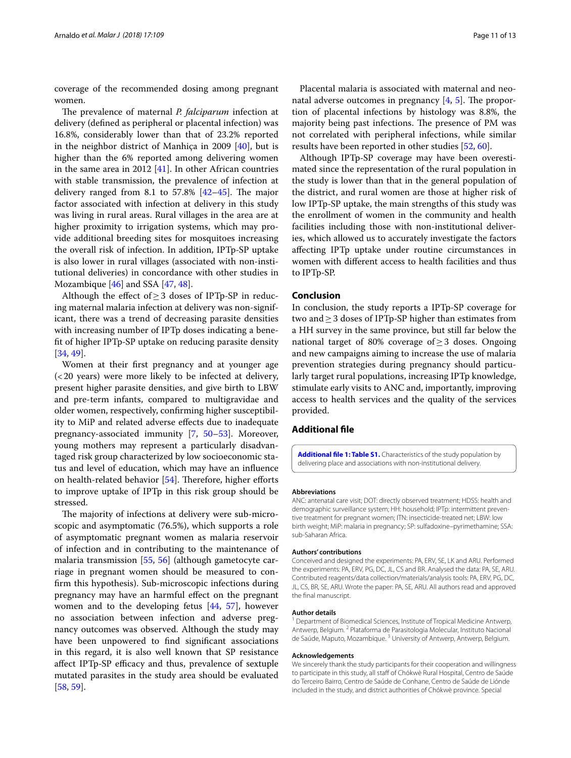coverage of the recommended dosing among pregnant women.

The prevalence of maternal *P. falciparum* infection at delivery (defned as peripheral or placental infection) was 16.8%, considerably lower than that of 23.2% reported in the neighbor district of Manhiça in 2009 [[40\]](#page-12-8), but is higher than the 6% reported among delivering women in the same area in 2012  $[41]$ . In other African countries with stable transmission, the prevalence of infection at delivery ranged from 8.1 to  $57.8\%$  [\[42](#page-12-10)-45]. The major factor associated with infection at delivery in this study was living in rural areas. Rural villages in the area are at higher proximity to irrigation systems, which may provide additional breeding sites for mosquitoes increasing the overall risk of infection. In addition, IPTp-SP uptake is also lower in rural villages (associated with non-institutional deliveries) in concordance with other studies in Mozambique [\[46](#page-12-12)] and SSA [[47](#page-12-13), [48\]](#page-12-14).

Although the effect of  $\geq$  3 doses of IPTp-SP in reducing maternal malaria infection at delivery was non-significant, there was a trend of decreasing parasite densities with increasing number of IPTp doses indicating a beneft of higher IPTp-SP uptake on reducing parasite density [[34,](#page-12-3) [49](#page-12-15)].

Women at their frst pregnancy and at younger age (<20 years) were more likely to be infected at delivery, present higher parasite densities, and give birth to LBW and pre-term infants, compared to multigravidae and older women, respectively, confrming higher susceptibility to MiP and related adverse efects due to inadequate pregnancy-associated immunity [[7](#page-11-6), [50–](#page-12-16)[53\]](#page-12-17). Moreover, young mothers may represent a particularly disadvantaged risk group characterized by low socioeconomic status and level of education, which may have an infuence on health-related behavior [[54\]](#page-12-18). Therefore, higher efforts to improve uptake of IPTp in this risk group should be stressed.

The majority of infections at delivery were sub-microscopic and asymptomatic (76.5%), which supports a role of asymptomatic pregnant women as malaria reservoir of infection and in contributing to the maintenance of malaria transmission [[55](#page-12-19), [56\]](#page-12-20) (although gametocyte carriage in pregnant women should be measured to confrm this hypothesis). Sub-microscopic infections during pregnancy may have an harmful efect on the pregnant women and to the developing fetus [[44,](#page-12-21) [57\]](#page-12-22), however no association between infection and adverse pregnancy outcomes was observed. Although the study may have been unpowered to fnd signifcant associations in this regard, it is also well known that SP resistance affect IPTp-SP efficacy and thus, prevalence of sextuple mutated parasites in the study area should be evaluated [[58,](#page-12-23) [59](#page-12-24)].

Placental malaria is associated with maternal and neonatal adverse outcomes in pregnancy  $[4, 5]$  $[4, 5]$  $[4, 5]$  $[4, 5]$ . The proportion of placental infections by histology was 8.8%, the majority being past infections. The presence of PM was not correlated with peripheral infections, while similar results have been reported in other studies [[52,](#page-12-25) [60](#page-12-26)].

Although IPTp-SP coverage may have been overestimated since the representation of the rural population in the study is lower than that in the general population of the district, and rural women are those at higher risk of low IPTp-SP uptake, the main strengths of this study was the enrollment of women in the community and health facilities including those with non-institutional deliveries, which allowed us to accurately investigate the factors afecting IPTp uptake under routine circumstances in women with diferent access to health facilities and thus to IPTp-SP.

# **Conclusion**

In conclusion, the study reports a IPTp-SP coverage for two and≥3 doses of IPTp-SP higher than estimates from a HH survey in the same province, but still far below the national target of 80% coverage of≥3 doses. Ongoing and new campaigns aiming to increase the use of malaria prevention strategies during pregnancy should particularly target rural populations, increasing IPTp knowledge, stimulate early visits to ANC and, importantly, improving access to health services and the quality of the services provided.

# **Additional fle**

<span id="page-10-0"></span>**[Additional fle](https://doi.org/10.1186/s12936-018-2255-z) 1: Table S1.** Characteristics of the study population by delivering place and associations with non-institutional delivery.

### **Abbreviations**

ANC: antenatal care visit; DOT: directly observed treatment; HDSS: health and demographic surveillance system; HH: household; IPTp: intermittent preventive treatment for pregnant women; ITN: insecticide-treated net; LBW: low birth weight; MiP: malaria in pregnancy; SP: sulfadoxine–pyrimethamine; SSA: sub-Saharan Africa.

### **Authors' contributions**

Conceived and designed the experiments: PA, ERV, SE, LK and ARU. Performed the experiments: PA, ERV, PG, DC, JL, CS and BR. Analysed the data: PA, SE, ARU. Contributed reagents/data collection/materials/analysis tools: PA, ERV, PG, DC, JL, CS, BR, SE, ARU. Wrote the paper: PA, SE, ARU. All authors read and approved the fnal manuscript.

#### **Author details**

<sup>1</sup> Department of Biomedical Sciences, Institute of Tropical Medicine Antwerp, Antwerp, Belgium. 2 Plataforma de Parasitologia Molecular, Instituto Nacional de Saúde, Maputo, Mozambique.<sup>3</sup> University of Antwerp, Antwerp, Belgium.

#### **Acknowledgements**

We sincerely thank the study participants for their cooperation and willingness to participate in this study, all staff of Chókwè Rural Hospital, Centro de Saúde do Terceiro Bairro, Centro de Saúde de Conhane, Centro de Saúde de Liónde included in the study, and district authorities of Chókwè province. Special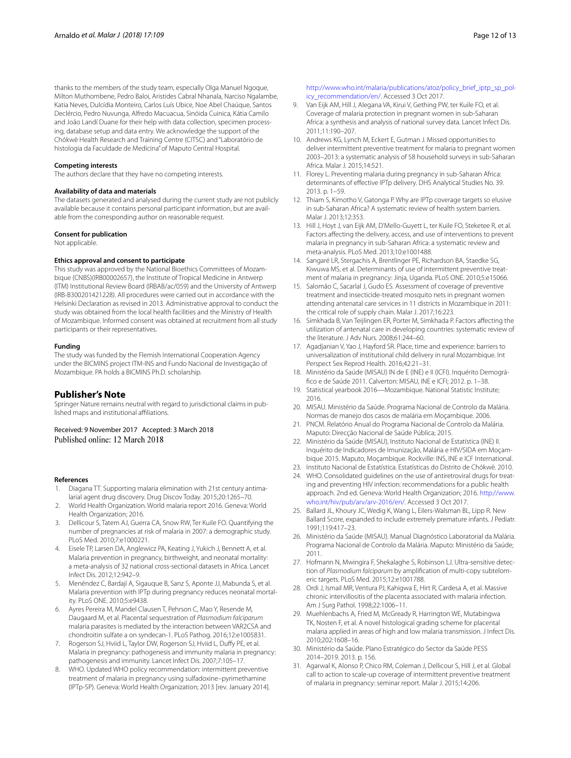thanks to the members of the study team, especially Olga Manuel Ngoque, Milton Muthombene, Pedro Baloi, Aristides Cabral Nhanala, Narciso Ngalambe, Katia Neves, Dulcídia Monteiro, Carlos Luís Ubice, Noe Abel Chaúque, Santos Declércio, Pedro Nuvunga, Alfredo Macuacua, Sinóida Cuinica, Kátia Camilo and João Landí Duane for their help with data collection, specimen processing, database setup and data entry. We acknowledge the support of the Chókwè Health Research and Training Centre (CITSC) and "Laboratório de histologia da Faculdade de Medicina" of Maputo Central Hospital.

### **Competing interests**

The authors declare that they have no competing interests.

### **Availability of data and materials**

The datasets generated and analysed during the current study are not publicly available because it contains personal participant information, but are available from the corresponding author on reasonable request.

### **Consent for publication**

Not applicable.

### **Ethics approval and consent to participate**

This study was approved by the National Bioethics Committees of Mozambique (CNBS)(IRB00002657), the Institute of Tropical Medicine in Antwerp (ITM) Institutional Review Board (IRBAB/ac/059) and the University of Antwerp (IRB-B300201421228). All procedures were carried out in accordance with the Helsinki Declaration as revised in 2013. Administrative approval to conduct the study was obtained from the local health facilities and the Ministry of Health of Mozambique. Informed consent was obtained at recruitment from all study participants or their representatives.

### **Funding**

The study was funded by the Flemish International Cooperation Agency under the BICMINS project ITM-INS and Fundo Nacional de Investigação of Mozambique. PA holds a BICMINS Ph.D. scholarship.

### **Publisher's Note**

Springer Nature remains neutral with regard to jurisdictional claims in published maps and institutional afliations.

Received: 9 November 2017 Accepted: 3 March 2018 Published online: 12 March 2018

#### **References**

- <span id="page-11-0"></span>1. Diagana TT. Supporting malaria elimination with 21st century antimalarial agent drug discovery. Drug Discov Today. 2015;20:1265–70.
- <span id="page-11-1"></span>2. World Health Organization. World malaria report 2016. Geneva: World Health Organization; 2016.
- <span id="page-11-2"></span>3. Dellicour S, Tatem AJ, Guerra CA, Snow RW, Ter Kuile FO. Quantifying the number of pregnancies at risk of malaria in 2007: a demographic study. PLoS Med. 2010;7:e1000221.
- <span id="page-11-3"></span>4. Eisele TP, Larsen DA, Anglewicz PA, Keating J, Yukich J, Bennett A, et al. Malaria prevention in pregnancy, birthweight, and neonatal mortality: a meta-analysis of 32 national cross-sectional datasets in Africa. Lancet Infect Dis. 2012;12:942–9.
- <span id="page-11-4"></span>5. Menéndez C, Bardají A, Sigauque B, Sanz S, Aponte JJ, Mabunda S, et al. Malaria prevention with IPTp during pregnancy reduces neonatal mortality. PLoS ONE. 2010;5:e9438.
- <span id="page-11-5"></span>6. Ayres Pereira M, Mandel Clausen T, Pehrson C, Mao Y, Resende M, Daugaard M, et al. Placental sequestration of *Plasmodium falciparum* malaria parasites is mediated by the interaction between VAR2CSA and chondroitin sulfate a on syndecan-1. PLoS Pathog. 2016;12:e1005831.
- <span id="page-11-6"></span>7. Rogerson SJ, Hviid L, Taylor DW, Rogerson SJ, Hviid L, Dufy PE, et al. Malaria in pregnancy: pathogenesis and immunity malaria in pregnancy: pathogenesis and immunity. Lancet Infect Dis. 2007;7:105–17.
- <span id="page-11-7"></span>8. WHO. Updated WHO policy recommendation: intermittent preventive treatment of malaria in pregnancy using sulfadoxine–pyrimethamine (IPTp-SP). Geneva: World Health Organization; 2013 [rev. January 2014].

http://www.who.int/malaria/publications/atoz/policy\_brief\_iptp\_sp\_pol[icy\\_recommendation/en/](http://www.who.int/malaria/publications/atoz/policy_brief_iptp_sp_policy_recommendation/en/). Accessed 3 Oct 2017.

- <span id="page-11-8"></span>9. Van Eijk AM, Hill J, Alegana VA, Kirui V, Gething PW, ter Kuile FO, et al. Coverage of malaria protection in pregnant women in sub-Saharan Africa: a synthesis and analysis of national survey data. Lancet Infect Dis. 2011;11:190–207.
- <span id="page-11-9"></span>10. Andrews KG, Lynch M, Eckert E, Gutman J. Missed opportunities to deliver intermittent preventive treatment for malaria to pregnant women 2003–2013: a systematic analysis of 58 household surveys in sub-Saharan Africa. Malar J. 2015;14:521.
- <span id="page-11-10"></span>11. Florey L. Preventing malaria during pregnancy in sub-Saharan Africa: determinants of efective IPTp delivery. DHS Analytical Studies No. 39. 2013. p. 1–59.
- <span id="page-11-11"></span>12. Thiam S, Kimotho V, Gatonga P. Why are IPTp coverage targets so elusive in sub-Saharan Africa? A systematic review of health system barriers. Malar J. 2013;12:353.
- 13. Hill J, Hoyt J, van Eijk AM, D'Mello-Guyett L, ter Kuile FO, Steketee R, et al. Factors affecting the delivery, access, and use of interventions to prevent malaria in pregnancy in sub-Saharan Africa: a systematic review and meta-analysis. PLoS Med. 2013;10:e1001488.
- <span id="page-11-12"></span>14. Sangaré LR, Stergachis A, Brentlinger PE, Richardson BA, Staedke SG, Kiwuwa MS, et al. Determinants of use of intermittent preventive treatment of malaria in pregnancy: Jinja, Uganda. PLoS ONE. 2010;5:e15066.
- <span id="page-11-13"></span>15. Salomão C, Sacarlal J, Gudo ES. Assessment of coverage of preventive treatment and insecticide-treated mosquito nets in pregnant women attending antenatal care services in 11 districts in Mozambique in 2011: the critical role of supply chain. Malar J. 2017;16:223.
- <span id="page-11-14"></span>16. Simkhada B, Van Teijlingen ER, Porter M, Simkhada P. Factors afecting the utilization of antenatal care in developing countries: systematic review of the literature. J Adv Nurs. 2008;61:244–60.
- <span id="page-11-15"></span>17. Agadjanian V, Yao J, Hayford SR. Place, time and experience: barriers to universalization of institutional child delivery in rural Mozambique. Int Perspect Sex Reprod Health. 2016;42:21–31.
- <span id="page-11-16"></span>18. Ministério da Saúde (MISAU) IN de E (INE) e II (ICFI). Inquérito Demográfco e de Saúde 2011. Calverton: MISAU, INE e ICFI; 2012. p. 1–38.
- <span id="page-11-17"></span>19. Statistical yearbook 2016—Mozambique. National Statistic Institute; 2016.
- <span id="page-11-18"></span>20. MISAU. Ministério da Saúde. Programa Nacional de Controlo da Malária. Normas de manejo dos casos de malária em Moçambique. 2006.
- <span id="page-11-19"></span>21. PNCM. Relatório Anual do Programa Nacional de Controlo da Malária. Maputo: Direcção Nacional de Saúde Pública; 2015.
- <span id="page-11-20"></span>22. Ministério da Saúde (MISAU), Instituto Nacional de Estatística (INE) II. Inquérito de Indicadores de Imunização, Malária e HIV/SIDA em Moçambique 2015. Maputo, Moçambique. Rockville: INS, INE e ICF International.
- <span id="page-11-22"></span><span id="page-11-21"></span>23. Instituto Nacional de Estatística. Estatísticas do Distrito de Chókwè. 2010. 24. WHO. Consolidated guidelines on the use of antiretroviral drugs for treating and preventing HIV infection: recommendations for a public health
- approach. 2nd ed. Geneva: World Health Organization; 2016. [http://www.](http://www.who.int/hiv/pub/arv/arv-2016/en/) [who.int/hiv/pub/arv/arv-2016/en/](http://www.who.int/hiv/pub/arv/arv-2016/en/). Accessed 3 Oct 2017.
- <span id="page-11-23"></span>25. Ballard JL, Khoury JC, Wedig K, Wang L, Eilers-Walsman BL, Lipp R. New Ballard Score, expanded to include extremely premature infants. J Pediatr. 1991;119:417–23.
- <span id="page-11-24"></span>26. Ministério da Saúde (MISAU). Manual Diagnóstico Laboratorial da Malária. Programa Nacional de Controlo da Malária. Maputo: Ministério da Saúde; 2011.
- <span id="page-11-25"></span>27. Hofmann N, Mwingira F, Shekalaghe S, Robinson LJ. Ultra-sensitive detection of Plasmodium falciparum by amplification of multi-copy subtelomeric targets. PLoS Med. 2015;12:e1001788.
- <span id="page-11-26"></span>28. Ordi J, Ismail MR, Ventura PJ, Kahigwa E, Hirt R, Cardesa A, et al. Massive chronic intervillositis of the placenta associated with malaria infection. Am J Surg Pathol. 1998;22:1006–11.
- <span id="page-11-27"></span>29. Muehlenbachs A, Fried M, McGready R, Harrington WE, Mutabingwa TK, Nosten F, et al. A novel histological grading scheme for placental malaria applied in areas of high and low malaria transmission. J Infect Dis. 2010;202:1608–16.
- <span id="page-11-28"></span>30. Ministério da Saúde. Plano Estratégico do Sector da Saúde PESS 2014–2019. 2013. p. 156.
- <span id="page-11-29"></span>31. Agarwal K, Alonso P, Chico RM, Coleman J, Dellicour S, Hill J, et al. Global call to action to scale-up coverage of intermittent preventive treatment of malaria in pregnancy: seminar report. Malar J. 2015;14:206.